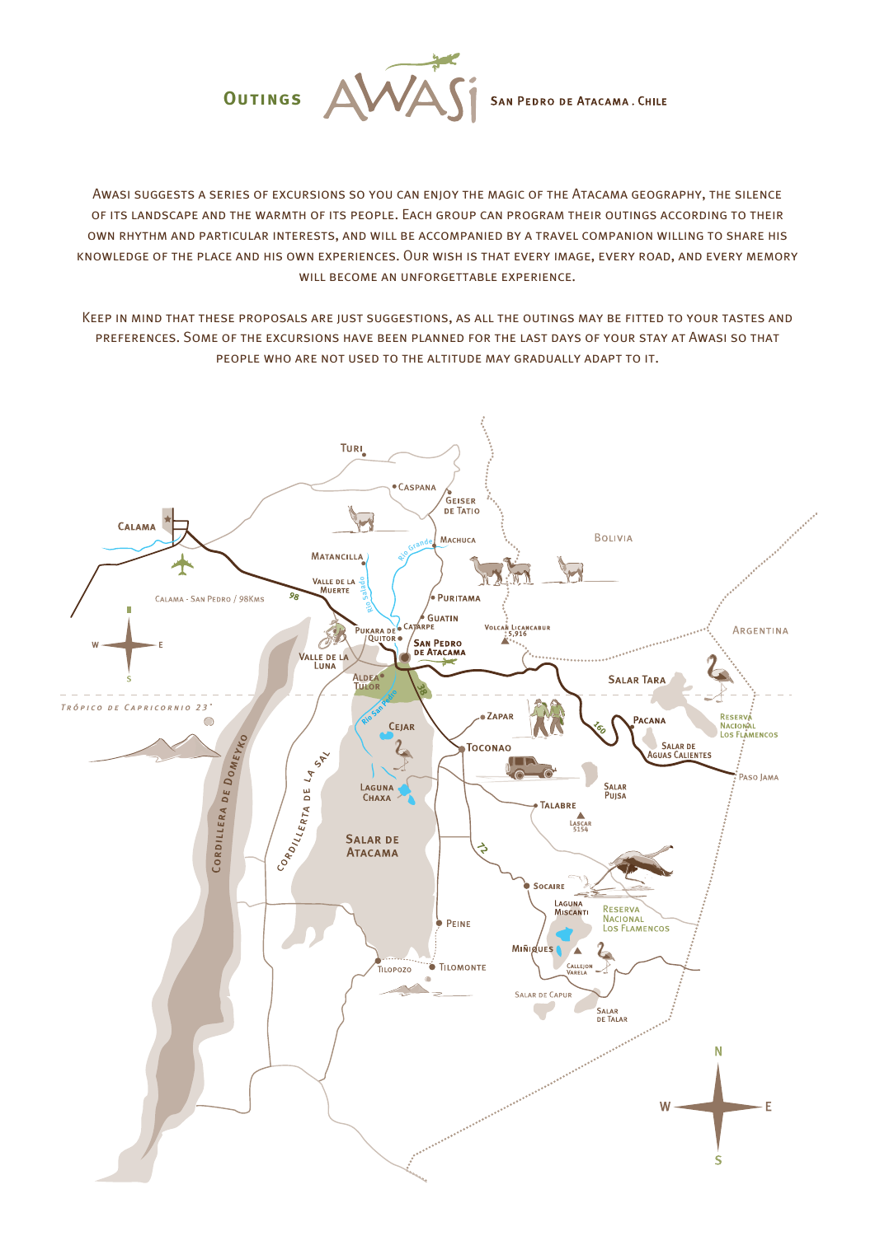

Awasi suggests a series of excursions so you can enjoy the magic of the Atacama geography, the silence of its landscape and the warmth of its people. Each group can program their outings according to their own rhythm and particular interests, and will be accompanied by a travel companion willing to share his knowledge of the place and his own experiences. Our wish is that every image, every road, and every memory WILL BECOME AN UNFORGETTABLE EXPERIENCE.

Keep in mind that these proposals are just suggestions, as all the outings may be fitted to your tastes and preferences. Some of the excursions have been planned for the last days of your stay at Awasi so that people who are not used to the altitude may gradually adapt to it.

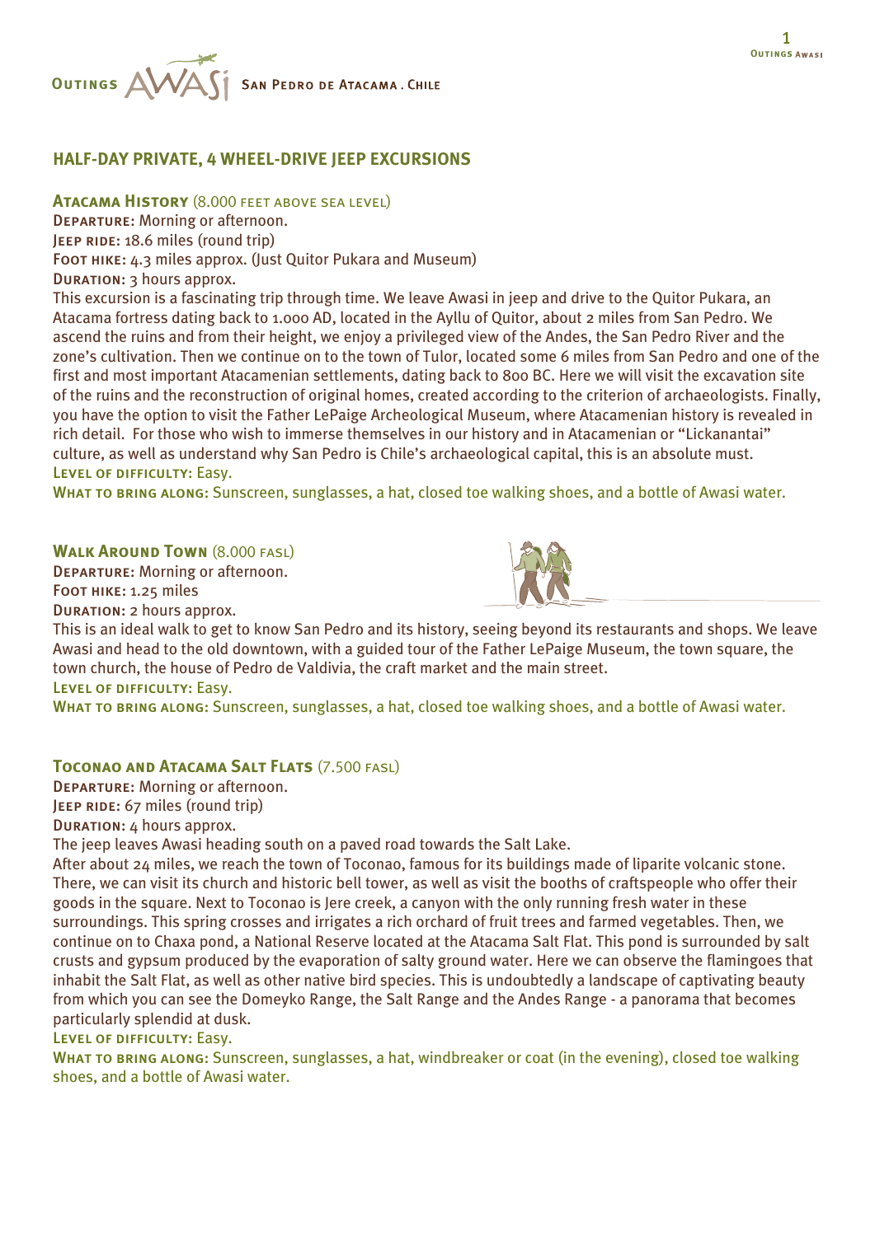# **HALF-DAY PRIVATE, 4 WHEEL-DRIVE JEEP EXCURSIONS**

**Atacama History** (8.000 feet above sea level)

Departure: Morning or afternoon.

**JEEP RIDE: 18.6 miles (round trip)** 

FOOT HIKE: 4.3 miles approx. (Just Quitor Pukara and Museum)

Duration: 3 hours approx.

**Outings** 

This excursion is a fascinating trip through time. We leave Awasi in jeep and drive to the Quitor Pukara, an Atacama fortress dating back to 1.000 AD, located in the Ayllu of Quitor, about 2 miles from San Pedro. We ascend the ruins and from their height, we enjoy a privileged view of the Andes, the San Pedro River and the zone's cultivation. Then we continue on to the town of Tulor, located some 6 miles from San Pedro and one of the first and most important Atacamenian settlements, dating back to 800 BC. Here we will visit the excavation site of the ruins and the reconstruction of original homes, created according to the criterion of archaeologists. Finally, you have the option to visit the Father LePaige Archeological Museum, where Atacamenian history is revealed in rich detail. For those who wish to immerse themselves in our history and in Atacamenian or "Lickanantai" culture, as well as understand why San Pedro is Chile's archaeological capital, this is an absolute must. Level of difficulty: Easy.

WHAT TO BRING ALONG: Sunscreen, sunglasses, a hat, closed toe walking shoes, and a bottle of Awasi water.

**WALK AROUND TOWN** (8.000 FASL)

Departure: Morning or afternoon.

FOOT HIKE: 1.25 miles

Duration: 2 hours approx.

This is an ideal walk to get to know San Pedro and its history, seeing beyond its restaurants and shops. We leave Awasi and head to the old downtown, with a guided tour of the Father LePaige Museum, the town square, the town church, the house of Pedro de Valdivia, the craft market and the main street. Level of difficulty: Easy.

WHAT TO BRING ALONG: Sunscreen, sunglasses, a hat, closed toe walking shoes, and a bottle of Awasi water.

### **Toconao and Atacama Salt Flats** (7.500 fasl)

Departure: Morning or afternoon. JEEP RIDE: 67 miles (round trip)

Duration: 4 hours approx.

The jeep leaves Awasi heading south on a paved road towards the Salt Lake.

After about 24 miles, we reach the town of Toconao, famous for its buildings made of liparite volcanic stone. There, we can visit its church and historic bell tower, as well as visit the booths of craftspeople who offer their goods in the square. Next to Toconao is Jere creek, a canyon with the only running fresh water in these surroundings. This spring crosses and irrigates a rich orchard of fruit trees and farmed vegetables. Then, we continue on to Chaxa pond, a National Reserve located at the Atacama Salt Flat. This pond is surrounded by salt crusts and gypsum produced by the evaporation of salty ground water. Here we can observe the flamingoes that inhabit the Salt Flat, as well as other native bird species. This is undoubtedly a landscape of captivating beauty from which you can see the Domeyko Range, the Salt Range and the Andes Range - a panorama that becomes particularly splendid at dusk.

Level of difficulty: Easy.

WHAT TO BRING ALONG: Sunscreen, sunglasses, a hat, windbreaker or coat (in the evening), closed toe walking shoes, and a bottle of Awasi water.

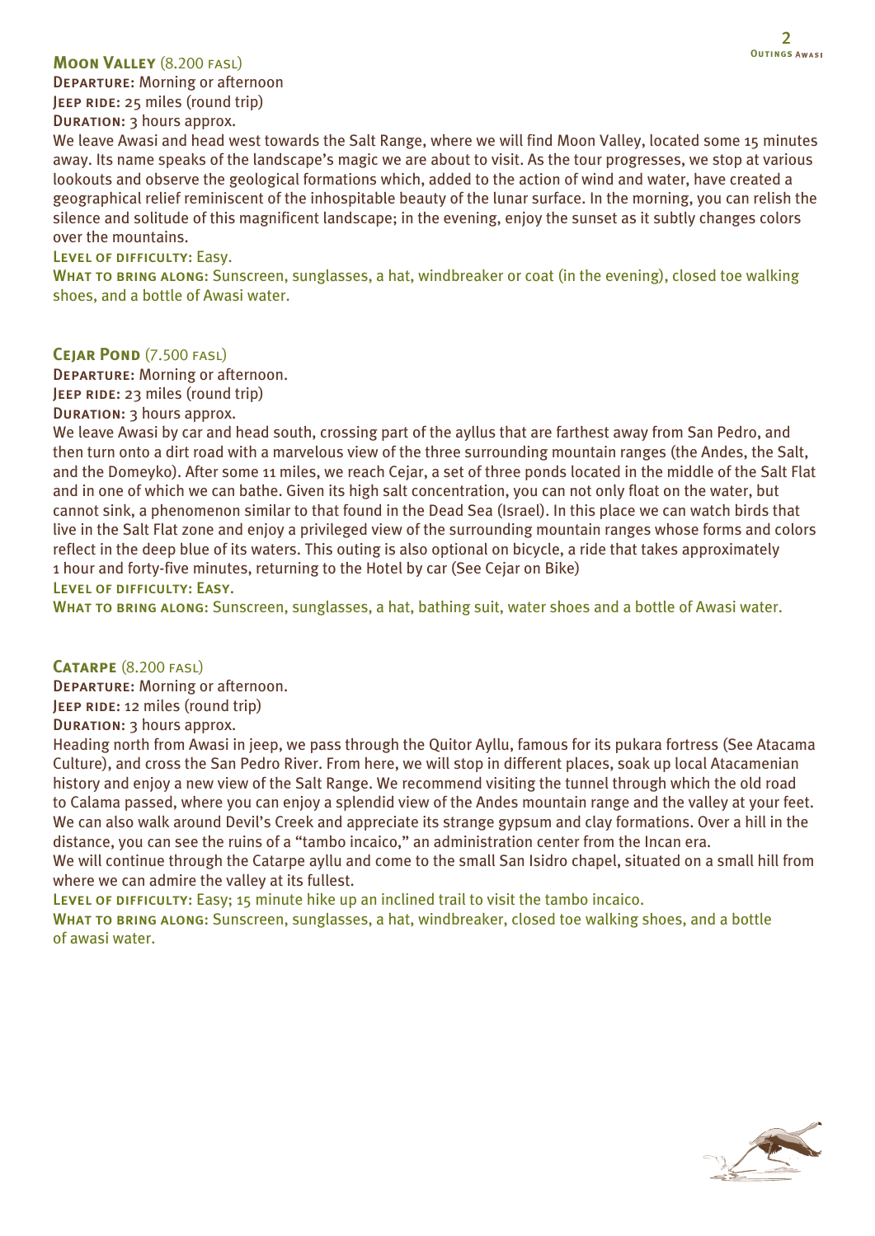#### **Moon Valley** (8.200 fasl)

Departure: Morning or afternoon JEEP RIDE: 25 miles (round trip)

DURATION: 3 hours approx.

We leave Awasi and head west towards the Salt Range, where we will find Moon Valley, located some 15 minutes away. Its name speaks of the landscape's magic we are about to visit. As the tour progresses, we stop at various lookouts and observe the geological formations which, added to the action of wind and water, have created a geographical relief reminiscent of the inhospitable beauty of the lunar surface. In the morning, you can relish the silence and solitude of this magnificent landscape; in the evening, enjoy the sunset as it subtly changes colors over the mountains.

### Level of difficulty: Easy.

WHAT TO BRING ALONG: Sunscreen, sunglasses, a hat, windbreaker or coat (in the evening), closed toe walking shoes, and a bottle of Awasi water.

#### **CEJAR POND** (7.500 FASL)

Departure: Morning or afternoon.

Jeep ride: 23 miles (round trip)

Duration: 3 hours approx.

We leave Awasi by car and head south, crossing part of the ayllus that are farthest away from San Pedro, and then turn onto a dirt road with a marvelous view of the three surrounding mountain ranges (the Andes, the Salt, and the Domeyko). After some 11 miles, we reach Cejar, a set of three ponds located in the middle of the Salt Flat and in one of which we can bathe. Given its high salt concentration, you can not only float on the water, but cannot sink, a phenomenon similar to that found in the Dead Sea (Israel). In this place we can watch birds that live in the Salt Flat zone and enjoy a privileged view of the surrounding mountain ranges whose forms and colors reflect in the deep blue of its waters. This outing is also optional on bicycle, a ride that takes approximately 1 hour and forty-five minutes, returning to the Hotel by car (See Cejar on Bike) Level of difficulty: Easy.

WHAT TO BRING ALONG: Sunscreen, sunglasses, a hat, bathing suit, water shoes and a bottle of Awasi water.

### **Catarpe** (8.200 fasl)

Departure: Morning or afternoon. JEEP RIDE: 12 miles (round trip)

Duration: 3 hours approx.

Heading north from Awasi in jeep, we pass through the Quitor Ayllu, famous for its pukara fortress (See Atacama Culture), and cross the San Pedro River. From here, we will stop in different places, soak up local Atacamenian history and enjoy a new view of the Salt Range. We recommend visiting the tunnel through which the old road to Calama passed, where you can enjoy a splendid view of the Andes mountain range and the valley at your feet. We can also walk around Devil's Creek and appreciate its strange gypsum and clay formations. Over a hill in the distance, you can see the ruins of a "tambo incaico," an administration center from the Incan era.

We will continue through the Catarpe ayllu and come to the small San Isidro chapel, situated on a small hill from where we can admire the valley at its fullest.

LEVEL OF DIFFICULTY: Easy; 15 minute hike up an inclined trail to visit the tambo incaico.

WHAT TO BRING ALONG: Sunscreen, sunglasses, a hat, windbreaker, closed toe walking shoes, and a bottle of awasi water.

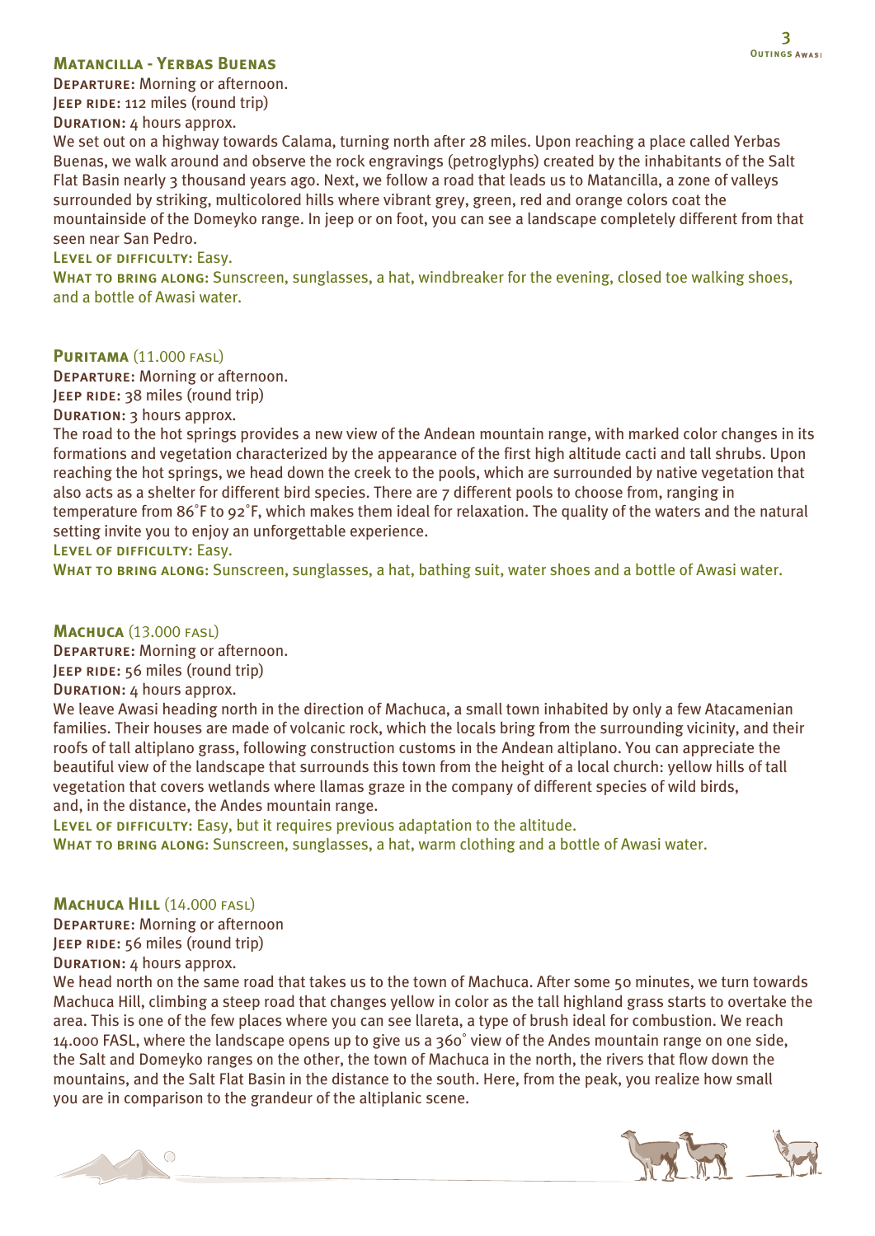### **Matancilla - Yerbas Buenas**

Departure: Morning or afternoon.

JEEP RIDE: 112 miles (round trip) Duration: 4 hours approx.

We set out on a highway towards Calama, turning north after 28 miles. Upon reaching a place called Yerbas Buenas, we walk around and observe the rock engravings (petroglyphs) created by the inhabitants of the Salt Flat Basin nearly 3 thousand years ago. Next, we follow a road that leads us to Matancilla, a zone of valleys surrounded by striking, multicolored hills where vibrant grey, green, red and orange colors coat the mountainside of the Domeyko range. In jeep or on foot, you can see a landscape completely different from that seen near San Pedro.

### Level of difficulty: Easy.

WHAT TO BRING ALONG: Sunscreen, sunglasses, a hat, windbreaker for the evening, closed toe walking shoes, and a bottle of Awasi water.

#### **PURITAMA (11.000 FASL)**

Departure: Morning or afternoon. JEEP RIDE: 38 miles (round trip) DURATION: 3 hours approx.

The road to the hot springs provides a new view of the Andean mountain range, with marked color changes in its formations and vegetation characterized by the appearance of the first high altitude cacti and tall shrubs. Upon reaching the hot springs, we head down the creek to the pools, which are surrounded by native vegetation that also acts as a shelter for different bird species. There are 7 different pools to choose from, ranging in temperature from 86˚F to 92˚F, which makes them ideal for relaxation. The quality of the waters and the natural setting invite you to enjoy an unforgettable experience.

Level of difficulty: Easy.

WHAT TO BRING ALONG: Sunscreen, sunglasses, a hat, bathing suit, water shoes and a bottle of Awasi water.

### **Machuca** (13.000 fasl)

Departure: Morning or afternoon.

JEEP RIDE: 56 miles (round trip)

#### Duration: 4 hours approx.

We leave Awasi heading north in the direction of Machuca, a small town inhabited by only a few Atacamenian families. Their houses are made of volcanic rock, which the locals bring from the surrounding vicinity, and their roofs of tall altiplano grass, following construction customs in the Andean altiplano. You can appreciate the beautiful view of the landscape that surrounds this town from the height of a local church: yellow hills of tall vegetation that covers wetlands where llamas graze in the company of different species of wild birds, and, in the distance, the Andes mountain range.

LEVEL OF DIFFICULTY: Easy, but it requires previous adaptation to the altitude.

WHAT TO BRING ALONG: Sunscreen, sunglasses, a hat, warm clothing and a bottle of Awasi water.

### **MACHUCA HILL (14.000 FASL)**

Departure: Morning or afternoon JEEP RIDE: 56 miles (round trip)

Duration: 4 hours approx.

We head north on the same road that takes us to the town of Machuca. After some 50 minutes, we turn towards Machuca Hill, climbing a steep road that changes yellow in color as the tall highland grass starts to overtake the area. This is one of the few places where you can see llareta, a type of brush ideal for combustion. We reach 14.000 FASL, where the landscape opens up to give us a 360˚ view of the Andes mountain range on one side, the Salt and Domeyko ranges on the other, the town of Machuca in the north, the rivers that flow down the mountains, and the Salt Flat Basin in the distance to the south. Here, from the peak, you realize how small you are in comparison to the grandeur of the altiplanic scene.



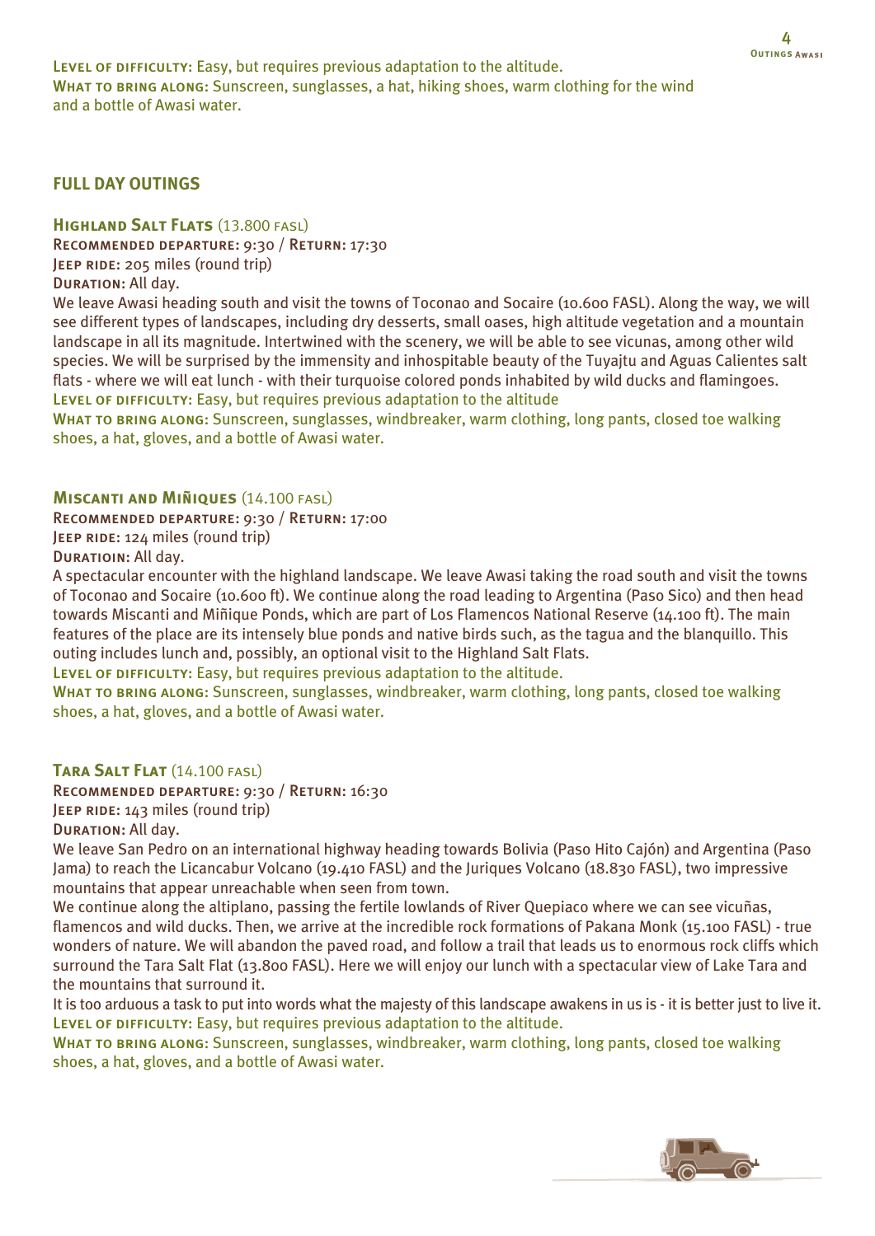LEVEL OF DIFFICULTY: Easy, but requires previous adaptation to the altitude. WHAT TO BRING ALONG: Sunscreen, sunglasses, a hat, hiking shoes, warm clothing for the wind and a bottle of Awasi water.

## **FULL DAY OUTINGS**

### **HIGHLAND SALT FLATS** (13.800 FASL)

Recommended departure: 9:30 / Return: 17:30

JEEP RIDE: 205 miles (round trip)

Duration: All day.

We leave Awasi heading south and visit the towns of Toconao and Socaire (10.600 FASL). Along the way, we will see different types of landscapes, including dry desserts, small oases, high altitude vegetation and a mountain landscape in all its magnitude. Intertwined with the scenery, we will be able to see vicunas, among other wild species. We will be surprised by the immensity and inhospitable beauty of the Tuyajtu and Aguas Calientes salt flats - where we will eat lunch - with their turquoise colored ponds inhabited by wild ducks and flamingoes. LEVEL OF DIFFICULTY: Easy, but requires previous adaptation to the altitude

WHAT TO BRING ALONG: Sunscreen, sunglasses, windbreaker, warm clothing, long pants, closed toe walking shoes, a hat, gloves, and a bottle of Awasi water.

#### **Miscanti and Miñiques** (14.100 fasl)

Recommended departure: 9:30 / Return: 17:00

JEEP RIDE: 124 miles (round trip)

Duratioin: All day.

A spectacular encounter with the highland landscape. We leave Awasi taking the road south and visit the towns of Toconao and Socaire (10.600 ft). We continue along the road leading to Argentina (Paso Sico) and then head towards Miscanti and Miñique Ponds, which are part of Los Flamencos National Reserve (14.100 ft). The main features of the place are its intensely blue ponds and native birds such, as the tagua and the blanquillo. This outing includes lunch and, possibly, an optional visit to the Highland Salt Flats.

LEVEL OF DIFFICULTY: Easy, but requires previous adaptation to the altitude.

WHAT TO BRING ALONG: Sunscreen, sunglasses, windbreaker, warm clothing, long pants, closed toe walking shoes, a hat, gloves, and a bottle of Awasi water.

### **Tara Salt Flat** (14.100 fasl)

Recommended departure: 9:30 / Return: 16:30 JEEP RIDE: 143 miles (round trip) Duration: All day.

We leave San Pedro on an international highway heading towards Bolivia (Paso Hito Cajón) and Argentina (Paso Jama) to reach the Licancabur Volcano (19.410 FASL) and the Juriques Volcano (18.830 FASL), two impressive mountains that appear unreachable when seen from town.

We continue along the altiplano, passing the fertile lowlands of River Quepiaco where we can see vicuñas, flamencos and wild ducks. Then, we arrive at the incredible rock formations of Pakana Monk (15.100 FASL) - true wonders of nature. We will abandon the paved road, and follow a trail that leads us to enormous rock cliffs which surround the Tara Salt Flat (13.800 FASL). Here we will enjoy our lunch with a spectacular view of Lake Tara and the mountains that surround it.

It is too arduous a task to put into words what the majesty of this landscape awakens in us is - it is better just to live it. LEVEL OF DIFFICULTY: Easy, but requires previous adaptation to the altitude.

WHAT TO BRING ALONG: Sunscreen, sunglasses, windbreaker, warm clothing, long pants, closed toe walking shoes, a hat, gloves, and a bottle of Awasi water.

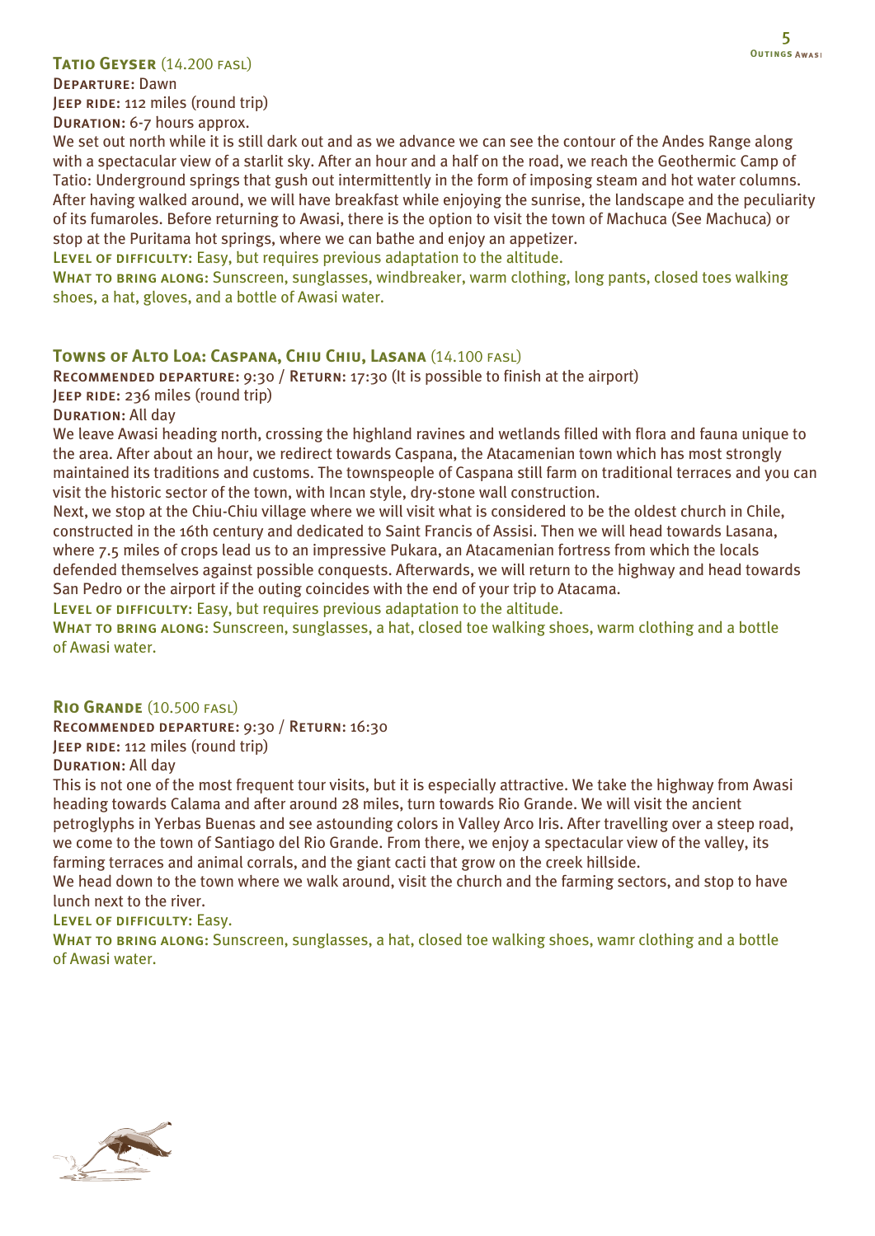### **Tatio Geyser** (14.200 fasl)

Departure: Dawn JEEP RIDE: 112 miles (round trip) Duration: 6-7 hours approx.

We set out north while it is still dark out and as we advance we can see the contour of the Andes Range along with a spectacular view of a starlit sky. After an hour and a half on the road, we reach the Geothermic Camp of Tatio: Underground springs that gush out intermittently in the form of imposing steam and hot water columns. After having walked around, we will have breakfast while enjoying the sunrise, the landscape and the peculiarity of its fumaroles. Before returning to Awasi, there is the option to visit the town of Machuca (See Machuca) or stop at the Puritama hot springs, where we can bathe and enjoy an appetizer.

LEVEL OF DIFFICULTY: Easy, but requires previous adaptation to the altitude.

WHAT TO BRING ALONG: Sunscreen, sunglasses, windbreaker, warm clothing, long pants, closed toes walking shoes, a hat, gloves, and a bottle of Awasi water.

### **Towns of Alto Loa: Caspana, Chiu Chiu, Lasana** (14.100 fasl)

RECOMMENDED DEPARTURE: 9:30 / RETURN: 17:30 (It is possible to finish at the airport) JEEP RIDE: 236 miles (round trip)

Duration: All day

We leave Awasi heading north, crossing the highland ravines and wetlands filled with flora and fauna unique to the area. After about an hour, we redirect towards Caspana, the Atacamenian town which has most strongly maintained its traditions and customs. The townspeople of Caspana still farm on traditional terraces and you can visit the historic sector of the town, with Incan style, dry-stone wall construction.

Next, we stop at the Chiu-Chiu village where we will visit what is considered to be the oldest church in Chile, constructed in the 16th century and dedicated to Saint Francis of Assisi. Then we will head towards Lasana, where 7.5 miles of crops lead us to an impressive Pukara, an Atacamenian fortress from which the locals defended themselves against possible conquests. Afterwards, we will return to the highway and head towards San Pedro or the airport if the outing coincides with the end of your trip to Atacama.

LEVEL OF DIFFICULTY: Easy, but requires previous adaptation to the altitude.

WHAT TO BRING ALONG: Sunscreen, sunglasses, a hat, closed toe walking shoes, warm clothing and a bottle of Awasi water.

### **Rio Grande** (10.500 fasl)

Recommended departure: 9:30 / Return: 16:30

JEEP RIDE: 112 miles (round trip)

Duration: All day

This is not one of the most frequent tour visits, but it is especially attractive. We take the highway from Awasi heading towards Calama and after around 28 miles, turn towards Rio Grande. We will visit the ancient petroglyphs in Yerbas Buenas and see astounding colors in Valley Arco Iris. After travelling over a steep road, we come to the town of Santiago del Rio Grande. From there, we enjoy a spectacular view of the valley, its farming terraces and animal corrals, and the giant cacti that grow on the creek hillside.

We head down to the town where we walk around, visit the church and the farming sectors, and stop to have lunch next to the river.

Level of difficulty: Easy.

WHAT TO BRING ALONG: Sunscreen, sunglasses, a hat, closed toe walking shoes, wamr clothing and a bottle of Awasi water.

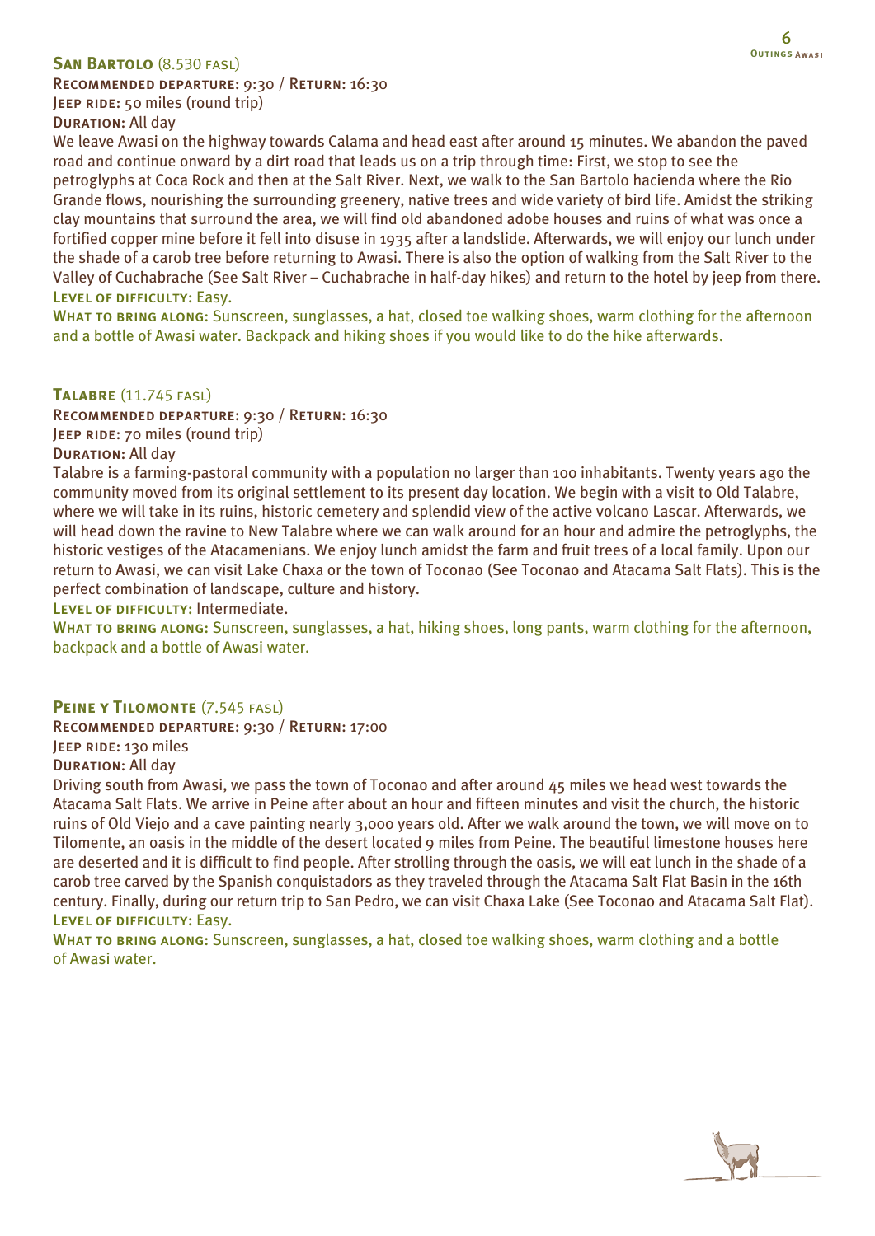### **San Bartolo** (8.530 fasl)

Recommended departure: 9:30 / Return: 16:30 JEEP RIDE: 50 miles (round trip) **DURATION: All day** 

We leave Awasi on the highway towards Calama and head east after around 15 minutes. We abandon the paved road and continue onward by a dirt road that leads us on a trip through time: First, we stop to see the petroglyphs at Coca Rock and then at the Salt River. Next, we walk to the San Bartolo hacienda where the Rio Grande flows, nourishing the surrounding greenery, native trees and wide variety of bird life. Amidst the striking clay mountains that surround the area, we will find old abandoned adobe houses and ruins of what was once a fortified copper mine before it fell into disuse in 1935 after a landslide. Afterwards, we will enjoy our lunch under the shade of a carob tree before returning to Awasi. There is also the option of walking from the Salt River to the Valley of Cuchabrache (See Salt River – Cuchabrache in half-day hikes) and return to the hotel by jeep from there. Level of difficulty: Easy.

WHAT TO BRING ALONG: Sunscreen, sunglasses, a hat, closed toe walking shoes, warm clothing for the afternoon and a bottle of Awasi water. Backpack and hiking shoes if you would like to do the hike afterwards.

**Talabre** (11.745 fasl)

Recommended departure: 9:30 / Return: 16:30 JEEP RIDE: 70 miles (round trip) Duration: All day

Talabre is a farming-pastoral community with a population no larger than 100 inhabitants. Twenty years ago the community moved from its original settlement to its present day location. We begin with a visit to Old Talabre, where we will take in its ruins, historic cemetery and splendid view of the active volcano Lascar. Afterwards, we will head down the ravine to New Talabre where we can walk around for an hour and admire the petroglyphs, the historic vestiges of the Atacamenians. We enjoy lunch amidst the farm and fruit trees of a local family. Upon our return to Awasi, we can visit Lake Chaxa or the town of Toconao (See Toconao and Atacama Salt Flats). This is the perfect combination of landscape, culture and history.

LEVEL OF DIFFICULTY: Intermediate.

WHAT TO BRING ALONG: Sunscreen, sunglasses, a hat, hiking shoes, long pants, warm clothing for the afternoon, backpack and a bottle of Awasi water.

### **PEINE Y TILOMONTE** (7.545 FASL)

Recommended departure: 9:30 / Return: 17:00

JEEP RIDE: 130 miles

DURATION: All day

Driving south from Awasi, we pass the town of Toconao and after around 45 miles we head west towards the Atacama Salt Flats. We arrive in Peine after about an hour and fifteen minutes and visit the church, the historic ruins of Old Viejo and a cave painting nearly 3,000 years old. After we walk around the town, we will move on to Tilomente, an oasis in the middle of the desert located 9 miles from Peine. The beautiful limestone houses here are deserted and it is difficult to find people. After strolling through the oasis, we will eat lunch in the shade of a carob tree carved by the Spanish conquistadors as they traveled through the Atacama Salt Flat Basin in the 16th century. Finally, during our return trip to San Pedro, we can visit Chaxa Lake (See Toconao and Atacama Salt Flat). Level of difficulty: Easy.

WHAT TO BRING ALONG: Sunscreen, sunglasses, a hat, closed toe walking shoes, warm clothing and a bottle of Awasi water.

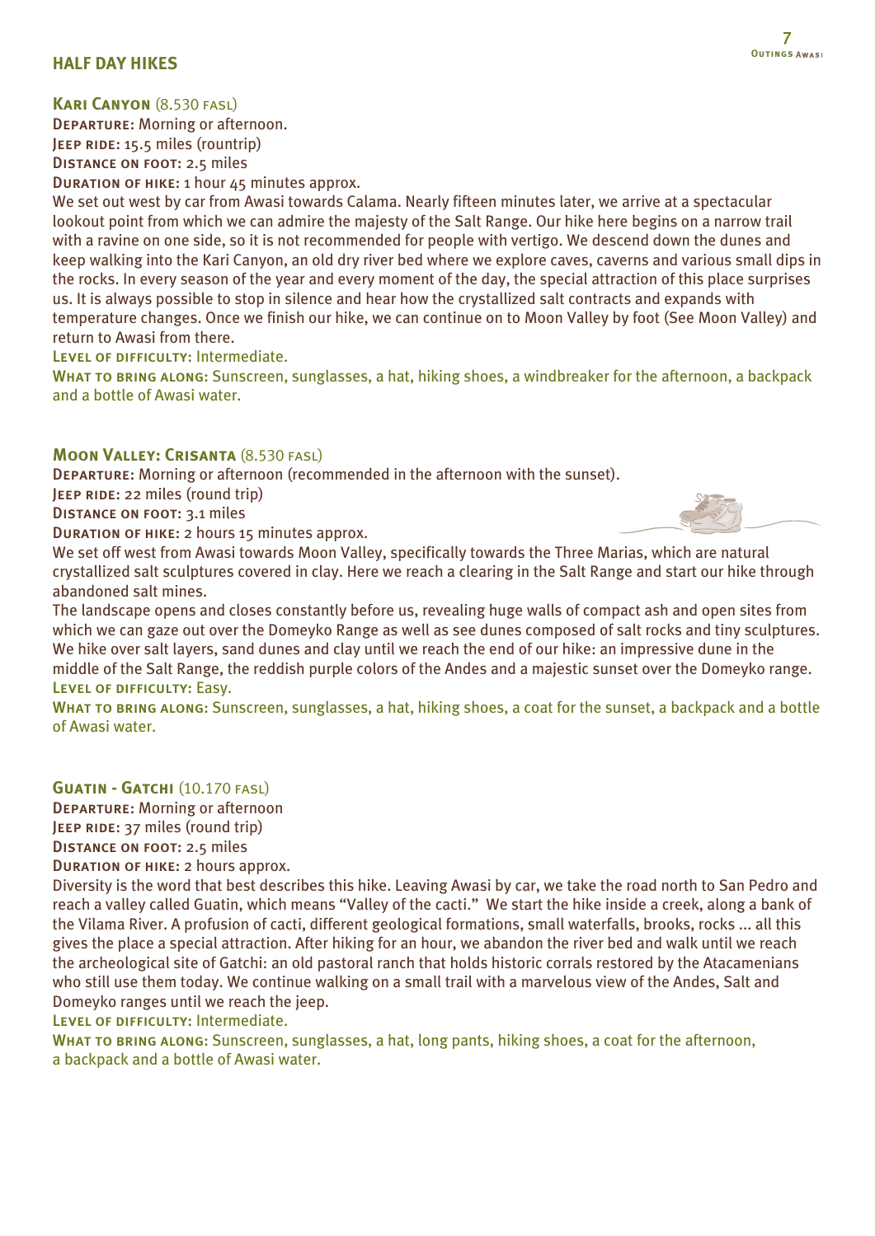### **HALF DAY HIKES**

### **Kari Canyon** (8.530 fasl)

Departure: Morning or afternoon. JEEP RIDE: 15.5 miles (rountrip) Distance on foot: 2.5 miles

Duration of hike: 1 hour 45 minutes approx.

We set out west by car from Awasi towards Calama. Nearly fifteen minutes later, we arrive at a spectacular lookout point from which we can admire the majesty of the Salt Range. Our hike here begins on a narrow trail with a ravine on one side, so it is not recommended for people with vertigo. We descend down the dunes and keep walking into the Kari Canyon, an old dry river bed where we explore caves, caverns and various small dips in the rocks. In every season of the year and every moment of the day, the special attraction of this place surprises us. It is always possible to stop in silence and hear how the crystallized salt contracts and expands with temperature changes. Once we finish our hike, we can continue on to Moon Valley by foot (See Moon Valley) and return to Awasi from there.

LEVEL OF DIFFICULTY: Intermediate.

WHAT TO BRING ALONG: Sunscreen, sunglasses, a hat, hiking shoes, a windbreaker for the afternoon, a backpack and a bottle of Awasi water.

### **MOON VALLEY: CRISANTA (8.530 FASL)**

Departure: Morning or afternoon (recommended in the afternoon with the sunset).

**JEEP RIDE: 22 miles (round trip)** 

Distance on foot: 3.1 miles

Duration of hike: 2 hours 15 minutes approx.



We set off west from Awasi towards Moon Valley, specifically towards the Three Marias, which are natural crystallized salt sculptures covered in clay. Here we reach a clearing in the Salt Range and start our hike through abandoned salt mines.

The landscape opens and closes constantly before us, revealing huge walls of compact ash and open sites from which we can gaze out over the Domeyko Range as well as see dunes composed of salt rocks and tiny sculptures. We hike over salt layers, sand dunes and clay until we reach the end of our hike: an impressive dune in the middle of the Salt Range, the reddish purple colors of the Andes and a majestic sunset over the Domeyko range. Level of difficulty: Easy.

WHAT TO BRING ALONG: Sunscreen, sunglasses, a hat, hiking shoes, a coat for the sunset, a backpack and a bottle of Awasi water.

### **GUATIN - GATCHI** (10.170 FASL)

Departure: Morning or afternoon JEEP RIDE: 37 miles (round trip) Distance on foot: 2.5 miles Duration of hike: 2 hours approx.

Diversity is the word that best describes this hike. Leaving Awasi by car, we take the road north to San Pedro and

reach a valley called Guatin, which means "Valley of the cacti." We start the hike inside a creek, along a bank of the Vilama River. A profusion of cacti, different geological formations, small waterfalls, brooks, rocks ... all this gives the place a special attraction. After hiking for an hour, we abandon the river bed and walk until we reach the archeological site of Gatchi: an old pastoral ranch that holds historic corrals restored by the Atacamenians who still use them today. We continue walking on a small trail with a marvelous view of the Andes, Salt and Domeyko ranges until we reach the jeep.

LEVEL OF DIFFICULTY: Intermediate.

WHAT TO BRING ALONG: Sunscreen, sunglasses, a hat, long pants, hiking shoes, a coat for the afternoon, a backpack and a bottle of Awasi water.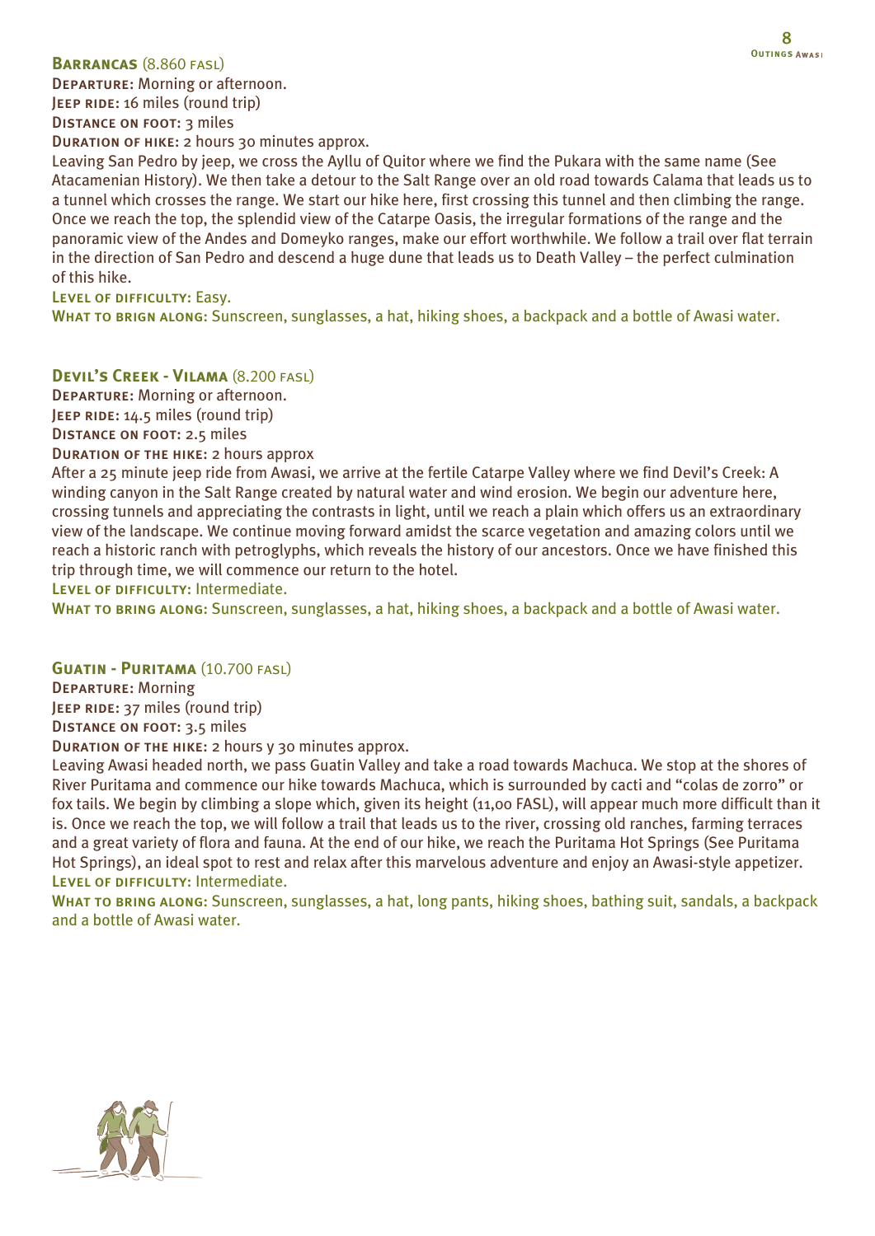### **Barrancas** (8.860 fasl)

Departure: Morning or afternoon. JEEP RIDE: 16 miles (round trip)

DISTANCE ON FOOT: 3 miles

Duration of hike: 2 hours 30 minutes approx.

Leaving San Pedro by jeep, we cross the Ayllu of Quitor where we find the Pukara with the same name (See Atacamenian History). We then take a detour to the Salt Range over an old road towards Calama that leads us to a tunnel which crosses the range. We start our hike here, first crossing this tunnel and then climbing the range. Once we reach the top, the splendid view of the Catarpe Oasis, the irregular formations of the range and the panoramic view of the Andes and Domeyko ranges, make our effort worthwhile. We follow a trail over flat terrain in the direction of San Pedro and descend a huge dune that leads us to Death Valley – the perfect culmination of this hike.

Level of difficulty: Easy.

WHAT TO BRIGN ALONG: Sunscreen, sunglasses, a hat, hiking shoes, a backpack and a bottle of Awasi water.

**Devil's Creek - Vilama** (8.200 fasl)

Departure: Morning or afternoon. JEEP RIDE: 14.5 miles (round trip) Distance on foot: 2.5 miles

Duration of the hike: 2 hours approx

After a 25 minute jeep ride from Awasi, we arrive at the fertile Catarpe Valley where we find Devil's Creek: A winding canyon in the Salt Range created by natural water and wind erosion. We begin our adventure here, crossing tunnels and appreciating the contrasts in light, until we reach a plain which offers us an extraordinary view of the landscape. We continue moving forward amidst the scarce vegetation and amazing colors until we reach a historic ranch with petroglyphs, which reveals the history of our ancestors. Once we have finished this trip through time, we will commence our return to the hotel.

LEVEL OF DIFFICULTY: Intermediate.

WHAT TO BRING ALONG: Sunscreen, sunglasses, a hat, hiking shoes, a backpack and a bottle of Awasi water.

#### **Guatin - Puritama** (10.700 fasl)

Departure: Morning JEEP RIDE: 37 miles (round trip) DISTANCE ON FOOT: 3.5 miles

Duration of the hike: 2 hours y 30 minutes approx.

Leaving Awasi headed north, we pass Guatin Valley and take a road towards Machuca. We stop at the shores of River Puritama and commence our hike towards Machuca, which is surrounded by cacti and "colas de zorro" or fox tails. We begin by climbing a slope which, given its height (11,00 FASL), will appear much more difficult than it is. Once we reach the top, we will follow a trail that leads us to the river, crossing old ranches, farming terraces and a great variety of flora and fauna. At the end of our hike, we reach the Puritama Hot Springs (See Puritama Hot Springs), an ideal spot to rest and relax after this marvelous adventure and enjoy an Awasi-style appetizer. LEVEL OF DIFFICULTY: Intermediate.

WHAT TO BRING ALONG: Sunscreen, sunglasses, a hat, long pants, hiking shoes, bathing suit, sandals, a backpack and a bottle of Awasi water.

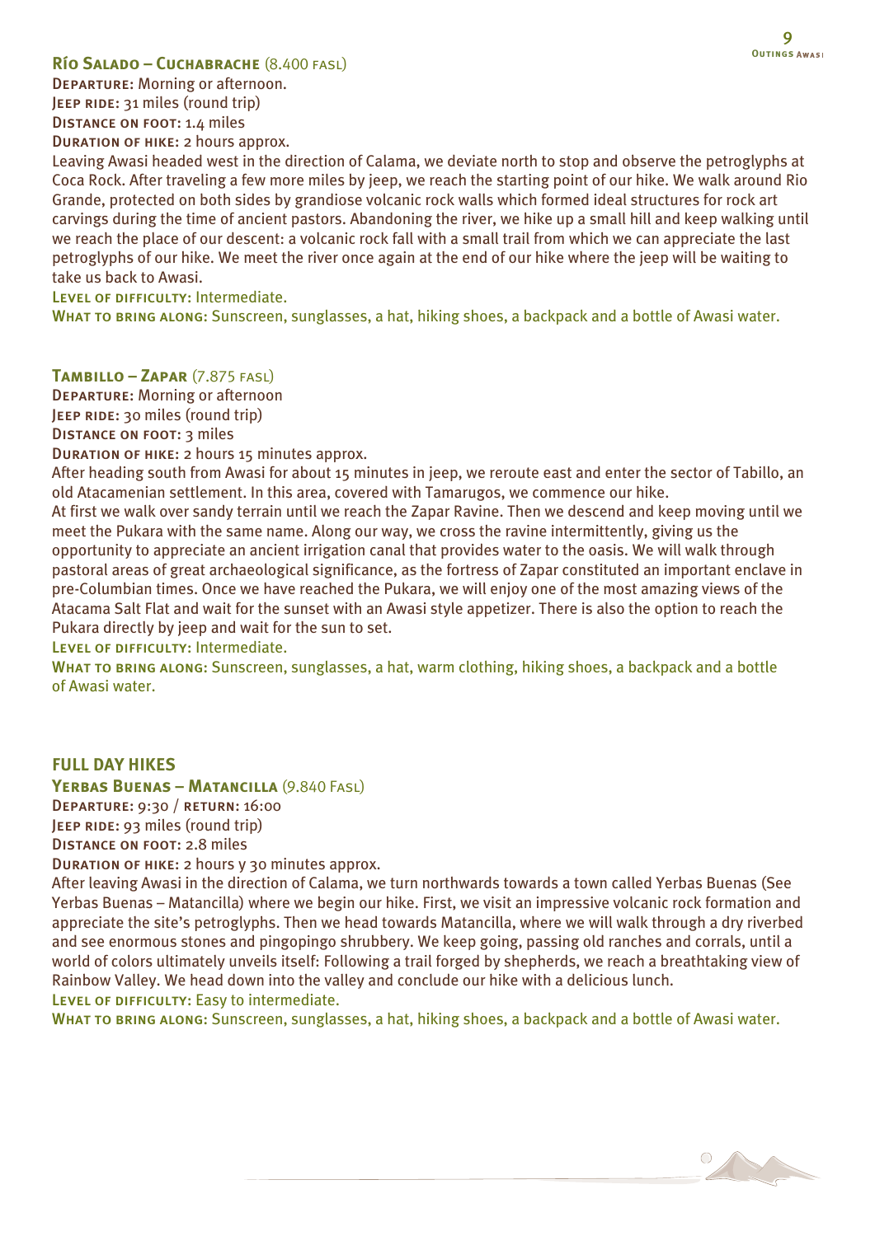### **Río Salado – Cuchabrache** (8.400 fasl)

Departure: Morning or afternoon. JEEP RIDE: 31 miles (round trip) Distance on foot: 1.4 miles Duration of hike: 2 hours approx.

Leaving Awasi headed west in the direction of Calama, we deviate north to stop and observe the petroglyphs at Coca Rock. After traveling a few more miles by jeep, we reach the starting point of our hike. We walk around Rio Grande, protected on both sides by grandiose volcanic rock walls which formed ideal structures for rock art carvings during the time of ancient pastors. Abandoning the river, we hike up a small hill and keep walking until we reach the place of our descent: a volcanic rock fall with a small trail from which we can appreciate the last petroglyphs of our hike. We meet the river once again at the end of our hike where the jeep will be waiting to take us back to Awasi.

LEVEL OF DIFFICULTY: Intermediate.

WHAT TO BRING ALONG: Sunscreen, sunglasses, a hat, hiking shoes, a backpack and a bottle of Awasi water.

#### **Tambillo – Zapar** (7.875 fasl)

Departure: Morning or afternoon

JEEP RIDE: 30 miles (round trip)

Distance on foot: 3 miles

Duration of hike: 2 hours 15 minutes approx.

After heading south from Awasi for about 15 minutes in jeep, we reroute east and enter the sector of Tabillo, an old Atacamenian settlement. In this area, covered with Tamarugos, we commence our hike.

At first we walk over sandy terrain until we reach the Zapar Ravine. Then we descend and keep moving until we meet the Pukara with the same name. Along our way, we cross the ravine intermittently, giving us the opportunity to appreciate an ancient irrigation canal that provides water to the oasis. We will walk through pastoral areas of great archaeological significance, as the fortress of Zapar constituted an important enclave in pre-Columbian times. Once we have reached the Pukara, we will enjoy one of the most amazing views of the Atacama Salt Flat and wait for the sunset with an Awasi style appetizer. There is also the option to reach the Pukara directly by jeep and wait for the sun to set.

LEVEL OF DIFFICULTY: Intermediate.

WHAT TO BRING ALONG: Sunscreen, sunglasses, a hat, warm clothing, hiking shoes, a backpack and a bottle of Awasi water.

#### **FULL DAY HIKES**

**Yerbas Buenas – Matancilla** (9.840 Fasl)

Departure: 9:30 / return: 16:00

JEEP RIDE: 93 miles (round trip)

Distance on foot: 2.8 miles

Duration of hike: 2 hours y 30 minutes approx.

After leaving Awasi in the direction of Calama, we turn northwards towards a town called Yerbas Buenas (See Yerbas Buenas – Matancilla) where we begin our hike. First, we visit an impressive volcanic rock formation and appreciate the site's petroglyphs. Then we head towards Matancilla, where we will walk through a dry riverbed and see enormous stones and pingopingo shrubbery. We keep going, passing old ranches and corrals, until a world of colors ultimately unveils itself: Following a trail forged by shepherds, we reach a breathtaking view of Rainbow Valley. We head down into the valley and conclude our hike with a delicious lunch. LEVEL OF DIFFICULTY: Easy to intermediate.

WHAT TO BRING ALONG: Sunscreen, sunglasses, a hat, hiking shoes, a backpack and a bottle of Awasi water.

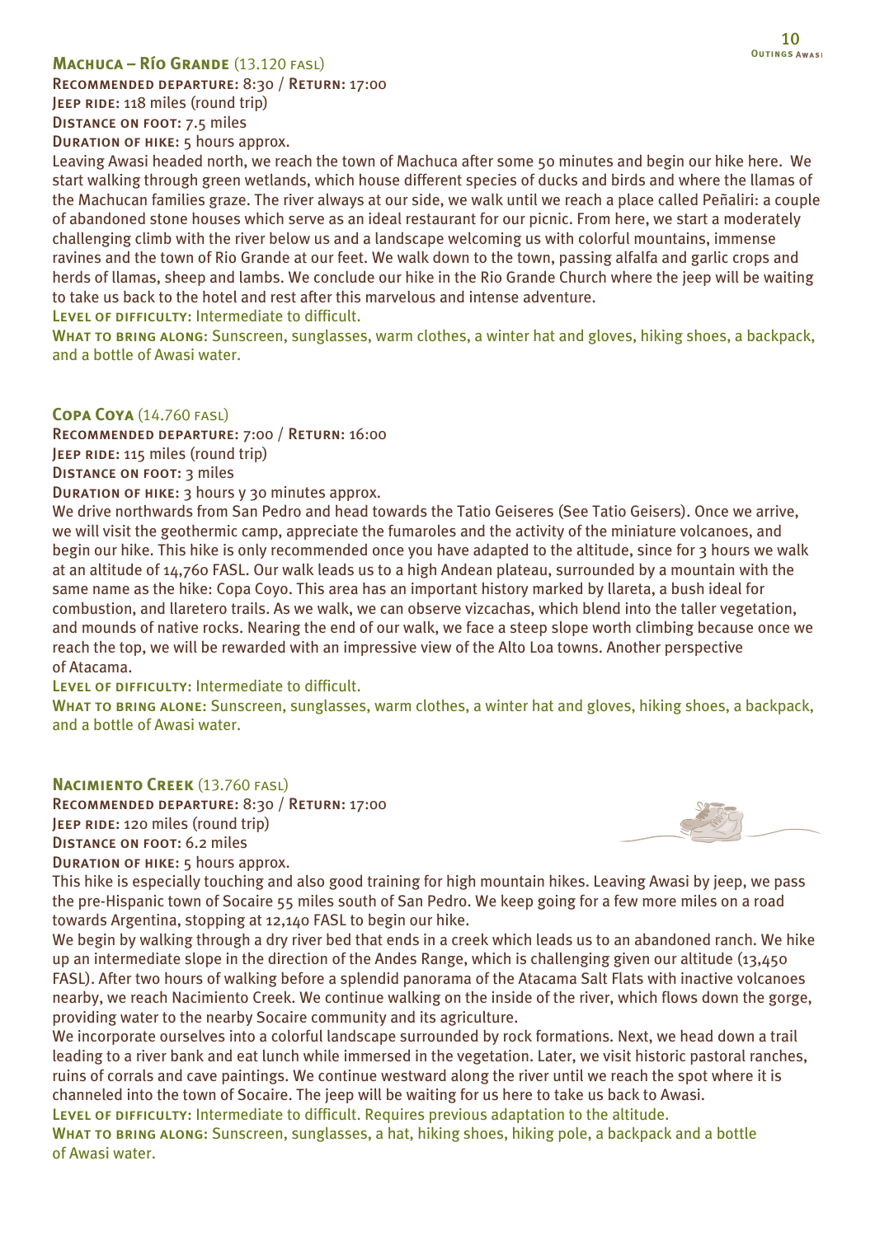### **Machuca – Río Grande** (13.120 fasl)

Recommended departure: 8:30 / Return: 17:00 JEEP RIDE: 118 miles (round trip) Distance on foot: 7.5 miles Duration of hike: 5 hours approx.

Leaving Awasi headed north, we reach the town of Machuca after some 50 minutes and begin our hike here. We start walking through green wetlands, which house different species of ducks and birds and where the llamas of the Machucan families graze. The river always at our side, we walk until we reach a place called Peñaliri: a couple of abandoned stone houses which serve as an ideal restaurant for our picnic. From here, we start a moderately challenging climb with the river below us and a landscape welcoming us with colorful mountains, immense ravines and the town of Rio Grande at our feet. We walk down to the town, passing alfalfa and garlic crops and herds of llamas, sheep and lambs. We conclude our hike in the Rio Grande Church where the jeep will be waiting to take us back to the hotel and rest after this marvelous and intense adventure.

Level of difficulty: Intermediate to difficult.

WHAT TO BRING ALONG: Sunscreen, sunglasses, warm clothes, a winter hat and gloves, hiking shoes, a backpack, and a bottle of Awasi water.

#### **Copa Coya** (14.760 fasl)

Recommended departure: 7:00 / Return: 16:00 JEEP RIDE: 115 miles (round trip)

Distance on foot: 3 miles

Duration of hike: 3 hours y 30 minutes approx.

We drive northwards from San Pedro and head towards the Tatio Geiseres (See Tatio Geisers). Once we arrive, we will visit the geothermic camp, appreciate the fumaroles and the activity of the miniature volcanoes, and begin our hike. This hike is only recommended once you have adapted to the altitude, since for 3 hours we walk at an altitude of 14,760 FASL. Our walk leads us to a high Andean plateau, surrounded by a mountain with the same name as the hike: Copa Coyo. This area has an important history marked by llareta, a bush ideal for combustion, and llaretero trails. As we walk, we can observe vizcachas, which blend into the taller vegetation, and mounds of native rocks. Nearing the end of our walk, we face a steep slope worth climbing because once we reach the top, we will be rewarded with an impressive view of the Alto Loa towns. Another perspective of Atacama.

LEVEL OF DIFFICULTY: Intermediate to difficult.

WHAT TO BRING ALONE: Sunscreen, sunglasses, warm clothes, a winter hat and gloves, hiking shoes, a backpack, and a bottle of Awasi water.

### **Nacimiento Creek** (13.760 fasl)

Recommended departure: 8:30 / Return: 17:00 **JEEP RIDE: 120 miles (round trip)** Distance on foot: 6.2 miles DURATION OF HIKE: 5 hours approx.



This hike is especially touching and also good training for high mountain hikes. Leaving Awasi by jeep, we pass the pre-Hispanic town of Socaire 55 miles south of San Pedro. We keep going for a few more miles on a road towards Argentina, stopping at 12,140 FASL to begin our hike.

We begin by walking through a dry river bed that ends in a creek which leads us to an abandoned ranch. We hike up an intermediate slope in the direction of the Andes Range, which is challenging given our altitude (13,450 FASL). After two hours of walking before a splendid panorama of the Atacama Salt Flats with inactive volcanoes nearby, we reach Nacimiento Creek. We continue walking on the inside of the river, which flows down the gorge, providing water to the nearby Socaire community and its agriculture.

We incorporate ourselves into a colorful landscape surrounded by rock formations. Next, we head down a trail leading to a river bank and eat lunch while immersed in the vegetation. Later, we visit historic pastoral ranches, ruins of corrals and cave paintings. We continue westward along the river until we reach the spot where it is channeled into the town of Socaire. The jeep will be waiting for us here to take us back to Awasi. LEVEL OF DIFFICULTY: Intermediate to difficult. Requires previous adaptation to the altitude.

WHAT TO BRING ALONG: Sunscreen, sunglasses, a hat, hiking shoes, hiking pole, a backpack and a bottle of Awasi water.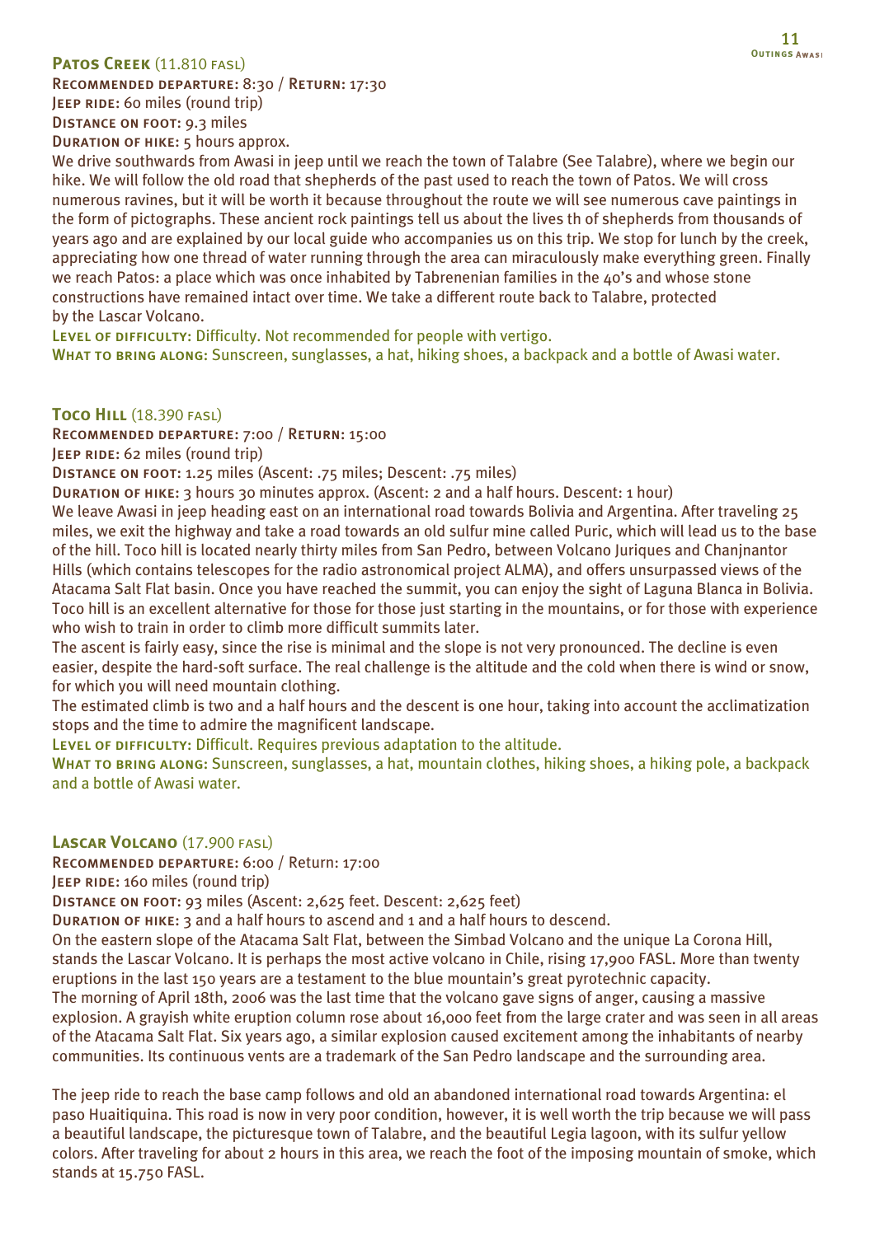### **PATOS CREEK (11.810 FASL)**

Recommended departure: 8:30 / Return: 17:30 JEEP RIDE: 60 miles (round trip) Distance on foot: 9.3 miles

DURATION OF HIKE: 5 hours approx.

We drive southwards from Awasi in jeep until we reach the town of Talabre (See Talabre), where we begin our hike. We will follow the old road that shepherds of the past used to reach the town of Patos. We will cross numerous ravines, but it will be worth it because throughout the route we will see numerous cave paintings in the form of pictographs. These ancient rock paintings tell us about the lives th of shepherds from thousands of years ago and are explained by our local guide who accompanies us on this trip. We stop for lunch by the creek, appreciating how one thread of water running through the area can miraculously make everything green. Finally we reach Patos: a place which was once inhabited by Tabrenenian families in the 40's and whose stone constructions have remained intact over time. We take a different route back to Talabre, protected by the Lascar Volcano.

LEVEL OF DIFFICULTY: Difficulty. Not recommended for people with vertigo.

WHAT TO BRING ALONG: Sunscreen, sunglasses, a hat, hiking shoes, a backpack and a bottle of Awasi water.

**Toco Hill** (18.390 fasl)

Recommended departure: 7:00 / Return: 15:00

JEEP RIDE: 62 miles (round trip)

Distance on foot: 1.25 miles (Ascent: .75 miles; Descent: .75 miles)

Duration of hike: 3 hours 30 minutes approx. (Ascent: 2 and a half hours. Descent: 1 hour)

We leave Awasi in jeep heading east on an international road towards Bolivia and Argentina. After traveling 25 miles, we exit the highway and take a road towards an old sulfur mine called Puric, which will lead us to the base of the hill. Toco hill is located nearly thirty miles from San Pedro, between Volcano Juriques and Chanjnantor Hills (which contains telescopes for the radio astronomical project ALMA), and offers unsurpassed views of the Atacama Salt Flat basin. Once you have reached the summit, you can enjoy the sight of Laguna Blanca in Bolivia. Toco hill is an excellent alternative for those for those just starting in the mountains, or for those with experience who wish to train in order to climb more difficult summits later.

The ascent is fairly easy, since the rise is minimal and the slope is not very pronounced. The decline is even easier, despite the hard-soft surface. The real challenge is the altitude and the cold when there is wind or snow, for which you will need mountain clothing.

The estimated climb is two and a half hours and the descent is one hour, taking into account the acclimatization stops and the time to admire the magnificent landscape.

LEVEL OF DIFFICULTY: Difficult. Requires previous adaptation to the altitude.

WHAT TO BRING ALONG: Sunscreen, sunglasses, a hat, mountain clothes, hiking shoes, a hiking pole, a backpack and a bottle of Awasi water.

**Lascar Volcano** (17.900 fasl)

Recommended departure: 6:00 / Return: 17:00

JEEP RIDE: 160 miles (round trip)

Distance on foot: 93 miles (Ascent: 2,625 feet. Descent: 2,625 feet)

Duration of hike: 3 and a half hours to ascend and 1 and a half hours to descend.

On the eastern slope of the Atacama Salt Flat, between the Simbad Volcano and the unique La Corona Hill, stands the Lascar Volcano. It is perhaps the most active volcano in Chile, rising 17,900 FASL. More than twenty eruptions in the last 150 years are a testament to the blue mountain's great pyrotechnic capacity. The morning of April 18th, 2006 was the last time that the volcano gave signs of anger, causing a massive explosion. A grayish white eruption column rose about 16,000 feet from the large crater and was seen in all areas of the Atacama Salt Flat. Six years ago, a similar explosion caused excitement among the inhabitants of nearby communities. Its continuous vents are a trademark of the San Pedro landscape and the surrounding area.

The jeep ride to reach the base camp follows and old an abandoned international road towards Argentina: el paso Huaitiquina. This road is now in very poor condition, however, it is well worth the trip because we will pass a beautiful landscape, the picturesque town of Talabre, and the beautiful Legia lagoon, with its sulfur yellow colors. After traveling for about 2 hours in this area, we reach the foot of the imposing mountain of smoke, which stands at 15.750 FASL.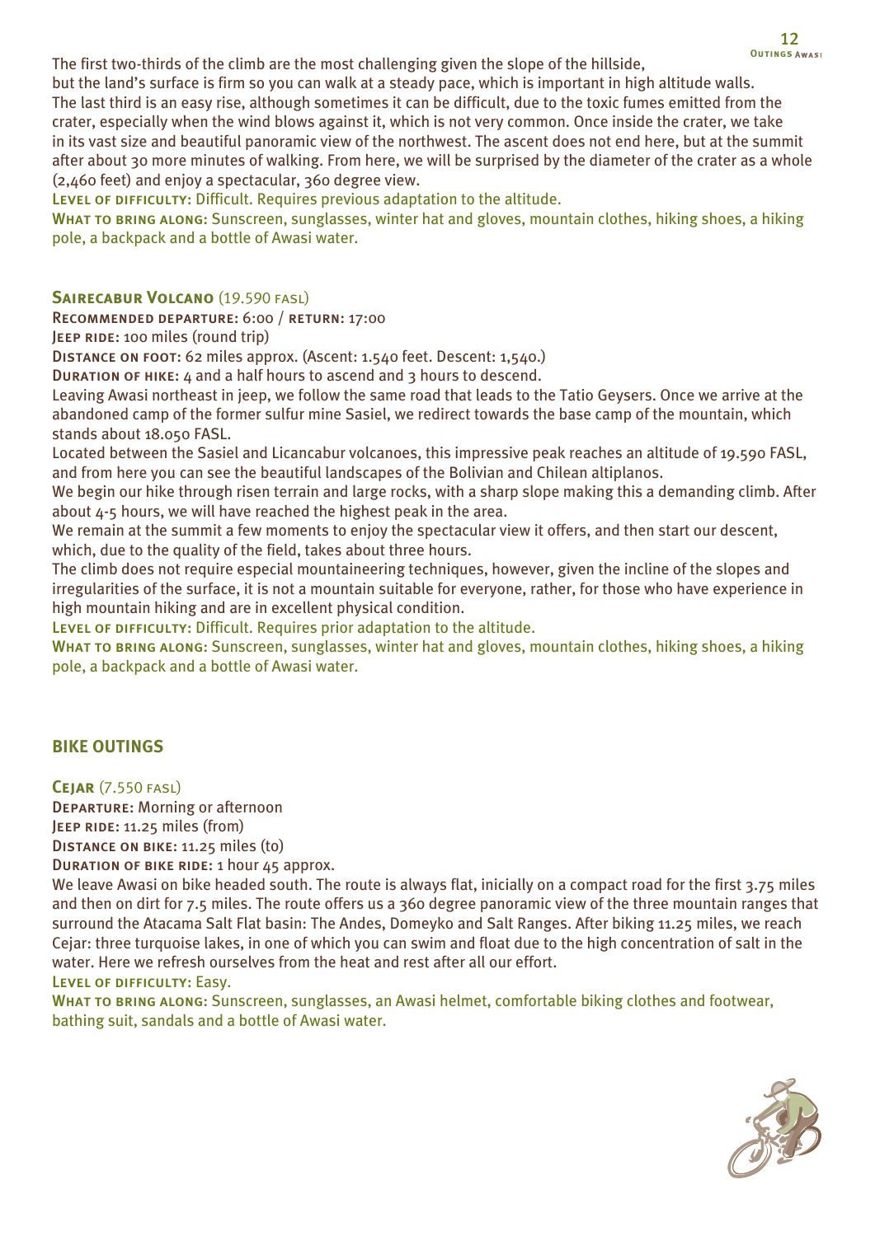The first two-thirds of the climb are the most challenging given the slope of the hillside,

but the land's surface is firm so you can walk at a steady pace, which is important in high altitude walls. The last third is an easy rise, although sometimes it can be difficult, due to the toxic fumes emitted from the crater, especially when the wind blows against it, which is not very common. Once inside the crater, we take in its vast size and beautiful panoramic view of the northwest. The ascent does not end here, but at the summit after about 30 more minutes of walking. From here, we will be surprised by the diameter of the crater as a whole (2,460 feet) and enjoy a spectacular, 360 degree view.

LEVEL OF DIFFICULTY: Difficult. Requires previous adaptation to the altitude.

WHAT TO BRING ALONG: Sunscreen, sunglasses, winter hat and gloves, mountain clothes, hiking shoes, a hiking pole, a backpack and a bottle of Awasi water.

# **SAIRECABUR VOLCANO** (19.590 FASL)

Recommended departure: 6:00 / return: 17:00

JEEP RIDE: 100 miles (round trip)

Distance on foot: 62 miles approx. (Ascent: 1.540 feet. Descent: 1,540.)

Duration of hike: 4 and a half hours to ascend and 3 hours to descend.

Leaving Awasi northeast in jeep, we follow the same road that leads to the Tatio Geysers. Once we arrive at the abandoned camp of the former sulfur mine Sasiel, we redirect towards the base camp of the mountain, which stands about 18.050 FASL.

Located between the Sasiel and Licancabur volcanoes, this impressive peak reaches an altitude of 19.590 FASL, and from here you can see the beautiful landscapes of the Bolivian and Chilean altiplanos.

We begin our hike through risen terrain and large rocks, with a sharp slope making this a demanding climb. After about 4-5 hours, we will have reached the highest peak in the area.

We remain at the summit a few moments to enjoy the spectacular view it offers, and then start our descent, which, due to the quality of the field, takes about three hours.

The climb does not require especial mountaineering techniques, however, given the incline of the slopes and irregularities of the surface, it is not a mountain suitable for everyone, rather, for those who have experience in high mountain hiking and are in excellent physical condition.

LEVEL OF DIFFICULTY: Difficult. Requires prior adaptation to the altitude.

WHAT TO BRING ALONG: Sunscreen, sunglasses, winter hat and gloves, mountain clothes, hiking shoes, a hiking pole, a backpack and a bottle of Awasi water.

# **BIKE OUTINGS**

**Cejar** (7.550 fasl)

Departure: Morning or afternoon

JEEP RIDE: 11.25 miles (from)

Distance on bike: 11.25 miles (to)

Duration of bike ride: 1 hour 45 approx.

We leave Awasi on bike headed south. The route is always flat, inicially on a compact road for the first 3.75 miles and then on dirt for 7.5 miles. The route offers us a 360 degree panoramic view of the three mountain ranges that surround the Atacama Salt Flat basin: The Andes, Domeyko and Salt Ranges. After biking 11.25 miles, we reach Cejar: three turquoise lakes, in one of which you can swim and float due to the high concentration of salt in the water. Here we refresh ourselves from the heat and rest after all our effort.

Level of difficulty: Easy.

WHAT TO BRING ALONG: Sunscreen, sunglasses, an Awasi helmet, comfortable biking clothes and footwear, bathing suit, sandals and a bottle of Awasi water.

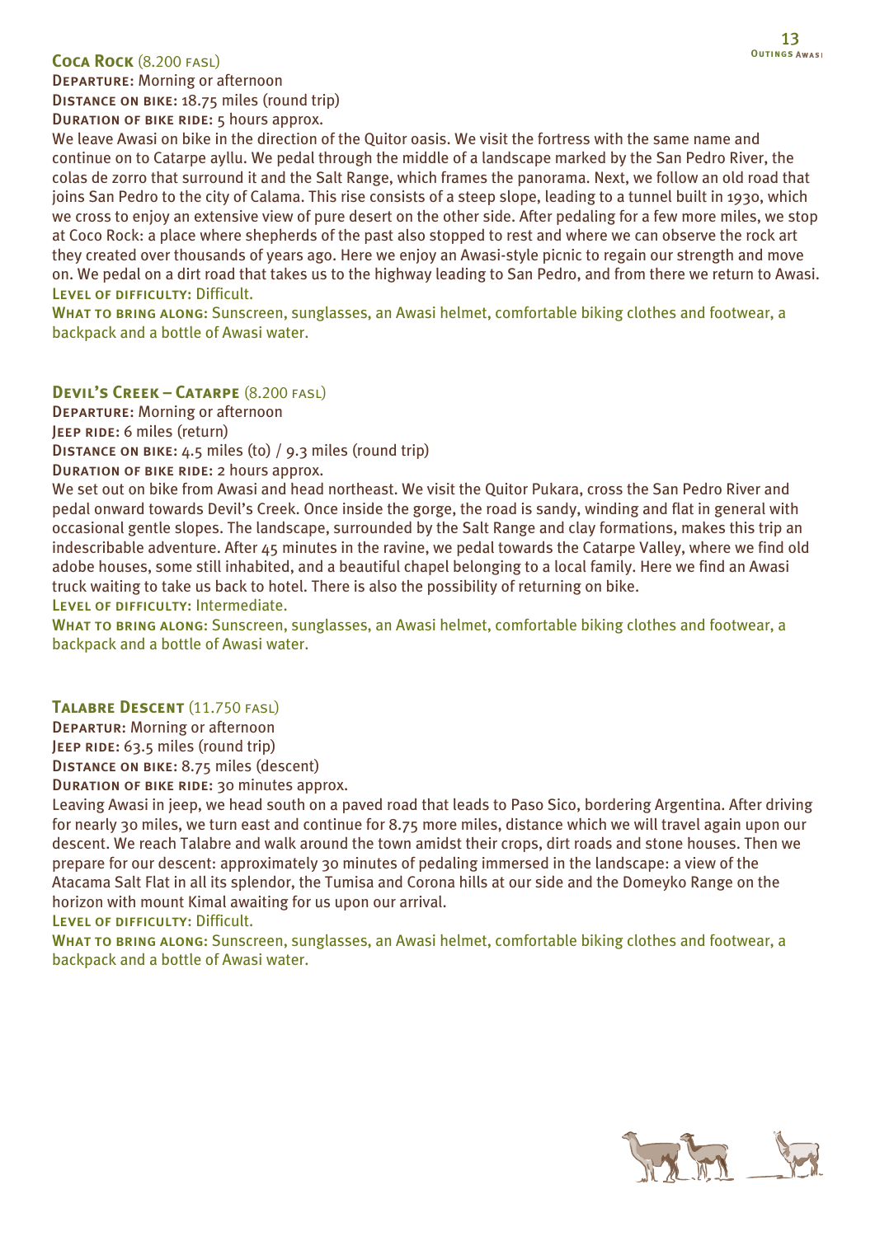### **Coca Rock** (8.200 fasl)

Distance on bike: 18.75 miles (round trip)

DURATION OF BIKE RIDE: 5 hours approx.

We leave Awasi on bike in the direction of the Quitor oasis. We visit the fortress with the same name and continue on to Catarpe ayllu. We pedal through the middle of a landscape marked by the San Pedro River, the colas de zorro that surround it and the Salt Range, which frames the panorama. Next, we follow an old road that joins San Pedro to the city of Calama. This rise consists of a steep slope, leading to a tunnel built in 1930, which we cross to enjoy an extensive view of pure desert on the other side. After pedaling for a few more miles, we stop at Coco Rock: a place where shepherds of the past also stopped to rest and where we can observe the rock art they created over thousands of years ago. Here we enjoy an Awasi-style picnic to regain our strength and move on. We pedal on a dirt road that takes us to the highway leading to San Pedro, and from there we return to Awasi. LEVEL OF DIFFICULTY: Difficult.

WHAT TO BRING ALONG: Sunscreen, sunglasses, an Awasi helmet, comfortable biking clothes and footwear, a backpack and a bottle of Awasi water.

**Devil's Creek – Catarpe** (8.200 fasl)

Departure: Morning or afternoon

JEEP RIDE: 6 miles (return)

Distance on bike: 4.5 miles (to) / 9.3 miles (round trip)

DURATION OF BIKE RIDE: 2 hours approx.

We set out on bike from Awasi and head northeast. We visit the Quitor Pukara, cross the San Pedro River and pedal onward towards Devil's Creek. Once inside the gorge, the road is sandy, winding and flat in general with occasional gentle slopes. The landscape, surrounded by the Salt Range and clay formations, makes this trip an indescribable adventure. After 45 minutes in the ravine, we pedal towards the Catarpe Valley, where we find old adobe houses, some still inhabited, and a beautiful chapel belonging to a local family. Here we find an Awasi truck waiting to take us back to hotel. There is also the possibility of returning on bike.

LEVEL OF DIFFICULTY: Intermediate.

WHAT TO BRING ALONG: Sunscreen, sunglasses, an Awasi helmet, comfortable biking clothes and footwear, a backpack and a bottle of Awasi water.

### **Talabre Descent** (11.750 fasl)

Departur: Morning or afternoon

JEEP RIDE: 63.5 miles (round trip)

Distance on bike: 8.75 miles (descent)

DURATION OF BIKE RIDE: 30 minutes approx.

Leaving Awasi in jeep, we head south on a paved road that leads to Paso Sico, bordering Argentina. After driving for nearly 30 miles, we turn east and continue for 8.75 more miles, distance which we will travel again upon our descent. We reach Talabre and walk around the town amidst their crops, dirt roads and stone houses. Then we prepare for our descent: approximately 30 minutes of pedaling immersed in the landscape: a view of the Atacama Salt Flat in all its splendor, the Tumisa and Corona hills at our side and the Domeyko Range on the horizon with mount Kimal awaiting for us upon our arrival.

LEVEL OF DIFFICULTY: Difficult.

WHAT TO BRING ALONG: Sunscreen, sunglasses, an Awasi helmet, comfortable biking clothes and footwear, a backpack and a bottle of Awasi water.

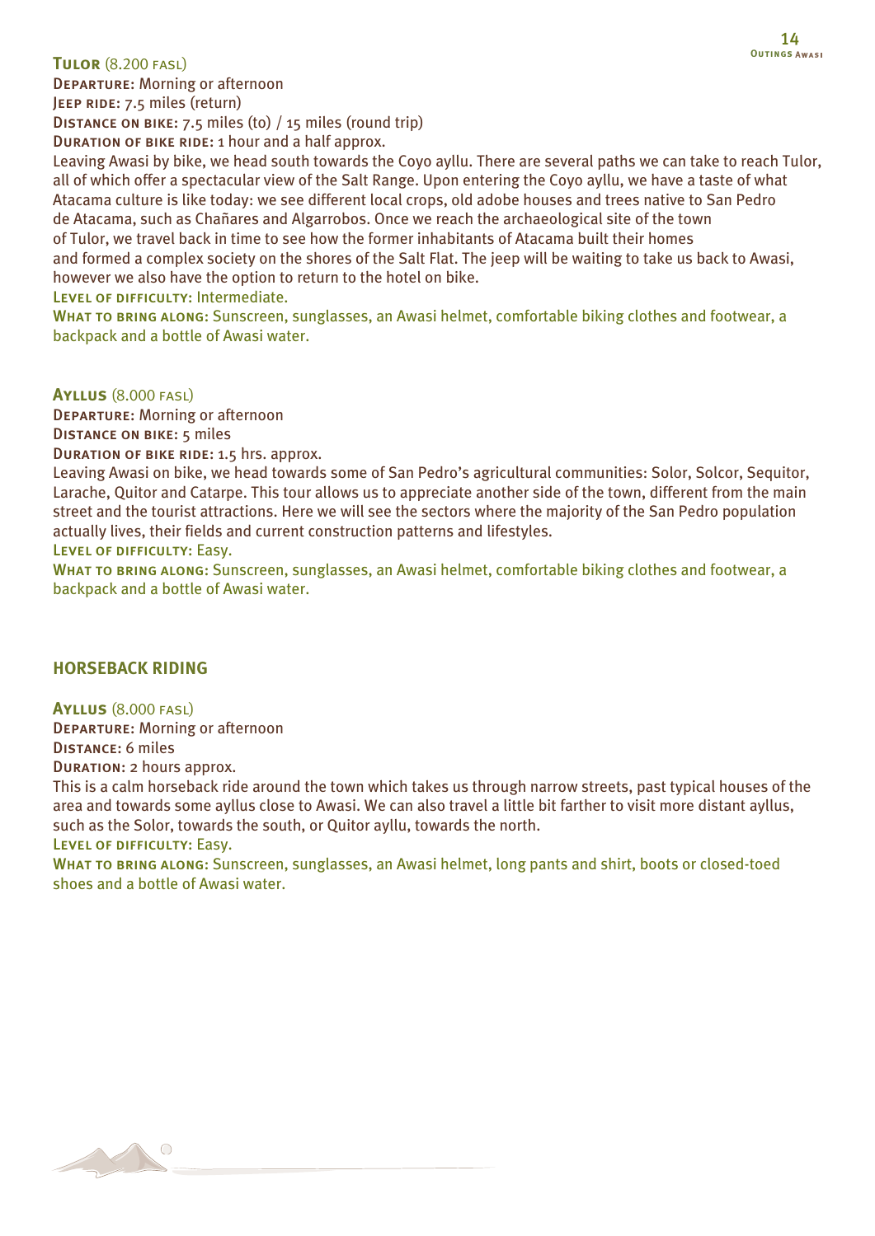### **Tulor** (8.200 fasl)

Departure: Morning or afternoon

JEEP RIDE: 7.5 miles (return)

Distance on bike: 7.5 miles (to) / 15 miles (round trip)

Duration of bike ride: 1 hour and a half approx.

Leaving Awasi by bike, we head south towards the Coyo ayllu. There are several paths we can take to reach Tulor, all of which offer a spectacular view of the Salt Range. Upon entering the Coyo ayllu, we have a taste of what Atacama culture is like today: we see different local crops, old adobe houses and trees native to San Pedro de Atacama, such as Chañares and Algarrobos. Once we reach the archaeological site of the town of Tulor, we travel back in time to see how the former inhabitants of Atacama built their homes and formed a complex society on the shores of the Salt Flat. The jeep will be waiting to take us back to Awasi, however we also have the option to return to the hotel on bike.

LEVEL OF DIFFICULTY: Intermediate.

WHAT TO BRING ALONG: Sunscreen, sunglasses, an Awasi helmet, comfortable biking clothes and footwear, a backpack and a bottle of Awasi water.

**Ayllus** (8.000 fasl)

Departure: Morning or afternoon

Distance on bike: 5 miles

Duration of bike ride: 1.5 hrs. approx.

Leaving Awasi on bike, we head towards some of San Pedro's agricultural communities: Solor, Solcor, Sequitor, Larache, Quitor and Catarpe. This tour allows us to appreciate another side of the town, different from the main street and the tourist attractions. Here we will see the sectors where the majority of the San Pedro population actually lives, their fields and current construction patterns and lifestyles.

Level of difficulty: Easy.

WHAT TO BRING ALONG: Sunscreen, sunglasses, an Awasi helmet, comfortable biking clothes and footwear, a backpack and a bottle of Awasi water.

### **HORSEBACK RIDING**

**Ayllus** (8.000 fasl) Departure: Morning or afternoon Distance: 6 miles

Duration: 2 hours approx.

This is a calm horseback ride around the town which takes us through narrow streets, past typical houses of the area and towards some ayllus close to Awasi. We can also travel a little bit farther to visit more distant ayllus, such as the Solor, towards the south, or Quitor ayllu, towards the north.

Level of difficulty: Easy.

WHAT TO BRING ALONG: Sunscreen, sunglasses, an Awasi helmet, long pants and shirt, boots or closed-toed shoes and a bottle of Awasi water.

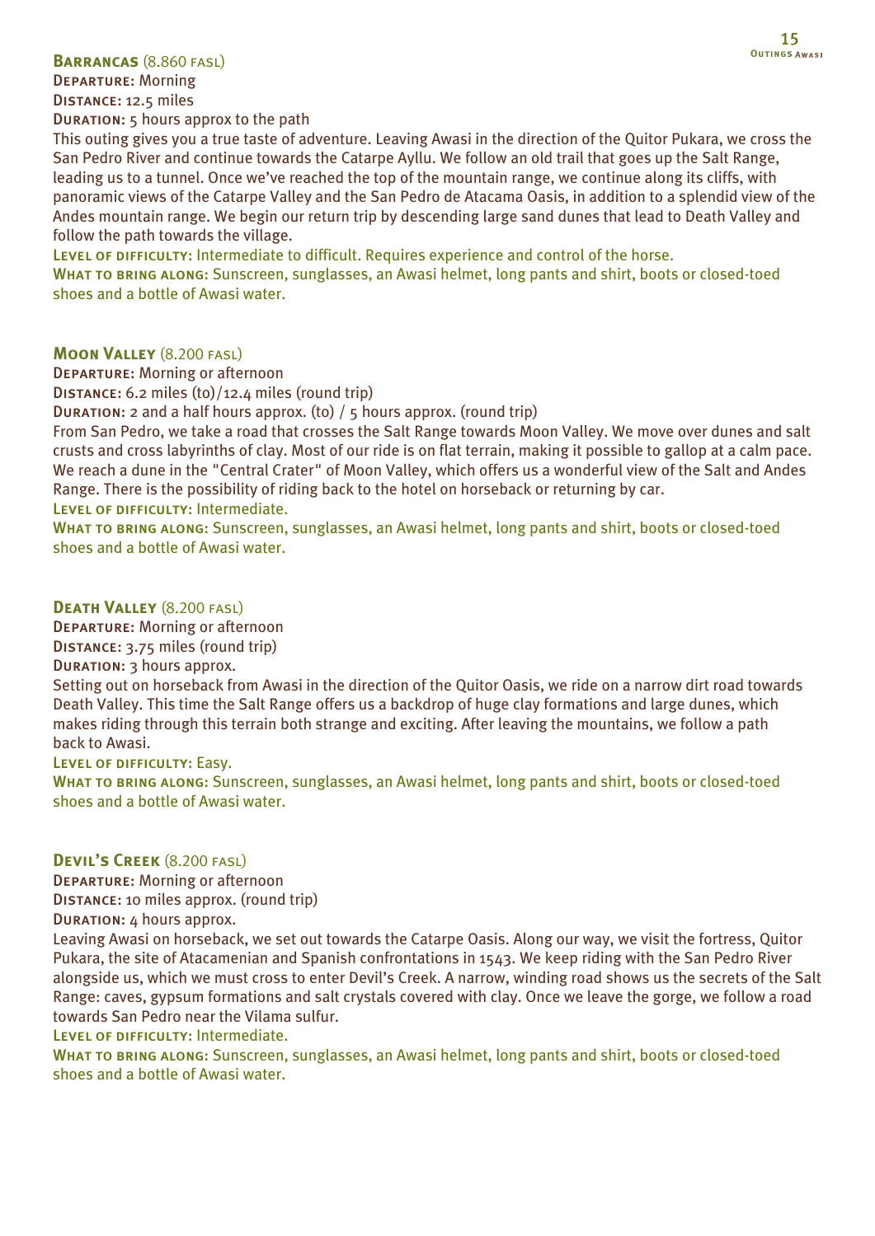### **Barrancas** (8.860 fasl)

Departure: Morning Distance: 12.5 miles

Duration: 5 hours approx to the path

This outing gives you a true taste of adventure. Leaving Awasi in the direction of the Quitor Pukara, we cross the San Pedro River and continue towards the Catarpe Ayllu. We follow an old trail that goes up the Salt Range, leading us to a tunnel. Once we've reached the top of the mountain range, we continue along its cliffs, with panoramic views of the Catarpe Valley and the San Pedro de Atacama Oasis, in addition to a splendid view of the Andes mountain range. We begin our return trip by descending large sand dunes that lead to Death Valley and follow the path towards the village.

LEVEL OF DIFFICULTY: Intermediate to difficult. Requires experience and control of the horse.

WHAT TO BRING ALONG: Sunscreen, sunglasses, an Awasi helmet, long pants and shirt, boots or closed-toed shoes and a bottle of Awasi water.

# **Moon Valley** (8.200 fasl)

Departure: Morning or afternoon

Distance: 6.2 miles (to)/12.4 miles (round trip)

Duration: 2 and a half hours approx. (to) / 5 hours approx. (round trip)

From San Pedro, we take a road that crosses the Salt Range towards Moon Valley. We move over dunes and salt crusts and cross labyrinths of clay. Most of our ride is on flat terrain, making it possible to gallop at a calm pace. We reach a dune in the "Central Crater" of Moon Valley, which offers us a wonderful view of the Salt and Andes Range. There is the possibility of riding back to the hotel on horseback or returning by car. LEVEL OF DIFFICULTY: Intermediate.

WHAT TO BRING ALONG: Sunscreen, sunglasses, an Awasi helmet, long pants and shirt, boots or closed-toed shoes and a bottle of Awasi water.

### **Death Valley** (8.200 fasl)

Departure: Morning or afternoon

## Distance: 3.75 miles (round trip)

# DURATION: 3 hours approx.

Setting out on horseback from Awasi in the direction of the Quitor Oasis, we ride on a narrow dirt road towards Death Valley. This time the Salt Range offers us a backdrop of huge clay formations and large dunes, which makes riding through this terrain both strange and exciting. After leaving the mountains, we follow a path back to Awasi.

### Level of difficulty: Easy.

WHAT TO BRING ALONG: Sunscreen, sunglasses, an Awasi helmet, long pants and shirt, boots or closed-toed shoes and a bottle of Awasi water.

### **Devil's Creek** (8.200 fasl)

Departure: Morning or afternoon Distance: 10 miles approx. (round trip)

Duration: 4 hours approx.

Leaving Awasi on horseback, we set out towards the Catarpe Oasis. Along our way, we visit the fortress, Quitor Pukara, the site of Atacamenian and Spanish confrontations in 1543. We keep riding with the San Pedro River alongside us, which we must cross to enter Devil's Creek. A narrow, winding road shows us the secrets of the Salt Range: caves, gypsum formations and salt crystals covered with clay. Once we leave the gorge, we follow a road towards San Pedro near the Vilama sulfur.

LEVEL OF DIFFICULTY: Intermediate.

WHAT TO BRING ALONG: Sunscreen, sunglasses, an Awasi helmet, long pants and shirt, boots or closed-toed shoes and a bottle of Awasi water.